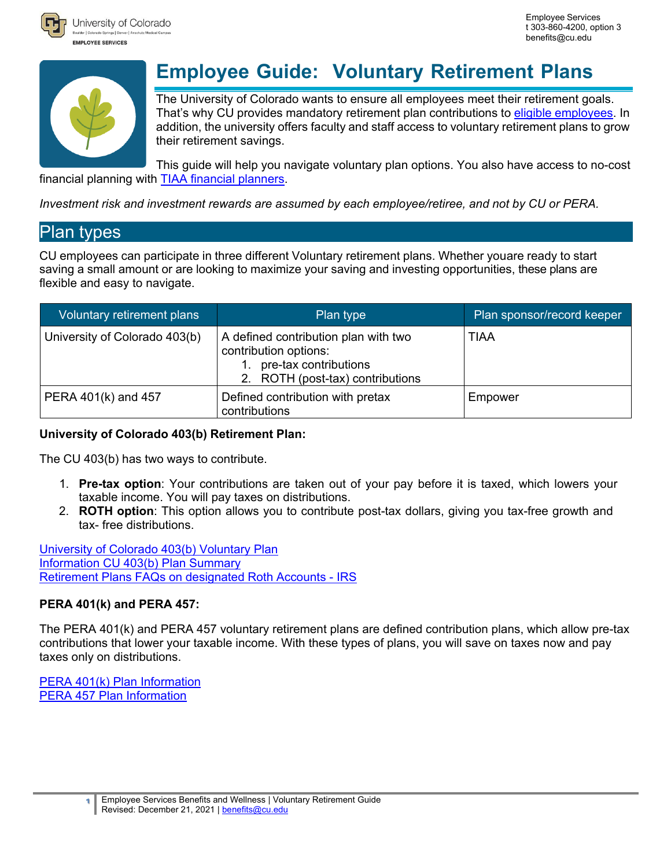



University of Colorado Joulder | Colorado Springs | Denver | / **EMPLOYEE SERVICES** 

# **Employee Guide: Voluntary Retirement Plans**

The University of Colorado wants to ensure all employees meet their retirement goals. That's why CU provides mandatory retirement plan contributions to eligible [employees.](https://www.cu.edu/node/115913) In addition, the university offers faculty and staff access to voluntary retirement plans to grow their retirement savings.

This guide will help you navigate voluntary plan options. You also have access to no-cost financial planning with [TIAA financial](https://www.cu.edu/employee-services/benefits-wellness/current-employee/retirement-plans/personal-financial) planners.

*Investment risk and investment rewards are assumed by each employee/retiree, and not by CU or PERA.*

### Plan types

CU employees can participate in three different Voluntary retirement plans. Whether youare ready to start saving a small amount or are looking to maximize your saving and investing opportunities, these plans are flexible and easy to navigate.

| Voluntary retirement plans    | Plan type                                                                                                                  | Plan sponsor/record keeper |
|-------------------------------|----------------------------------------------------------------------------------------------------------------------------|----------------------------|
| University of Colorado 403(b) | A defined contribution plan with two<br>contribution options:<br>pre-tax contributions<br>2. ROTH (post-tax) contributions | TIAA                       |
| PERA 401(k) and 457           | Defined contribution with pretax<br>contributions                                                                          | Empower                    |

#### **University of Colorado 403(b) Retirement Plan:**

The CU 403(b) has two ways to contribute.

- 1. **Pre-tax option**: Your contributions are taken out of your pay before it is taxed, which lowers your taxable income. You will pay taxes on distributions.
- 2. **ROTH option**: This option allows you to contribute post-tax dollars, giving you tax-free growth and tax- free distributions.

[University of Colorado 403\(b\) Voluntary Plan](https://www.tiaa.org/public/tcm/cu/investment-options/plan2) [Information](https://www.tiaa.org/public/tcm/cu/investment-options/plan2) CU [403\(b\) Plan](https://www.cu.edu/node/168274) Summary Retirement Plans FAQs on [designated](https://www.irs.gov/retirement-plans/retirement-plans-faqs-on-designated-roth-accounts) Roth Accounts - IRS

#### **PERA 401(k) and PERA 457:**

The PERA 401(k) and PERA 457 voluntary retirement plans are defined contribution plans, which allow pre-tax contributions that lower your taxable income. With these types of plans, you will save on taxes now and pay taxes only on distributions.

[PERA 401\(k\) Plan Information](https://copera401k.voya.com/einfo/planinfo.aspx?cl=CORADO&pl=650301PU&page=plan_informationintroduction) PERA 457 Plan [Information](https://copera401k.voya.com/einfo/planinfo.aspx?cl=CORADO&pl=650303PU&page=plan_informationintroduction&domain=copera401k.voya.com)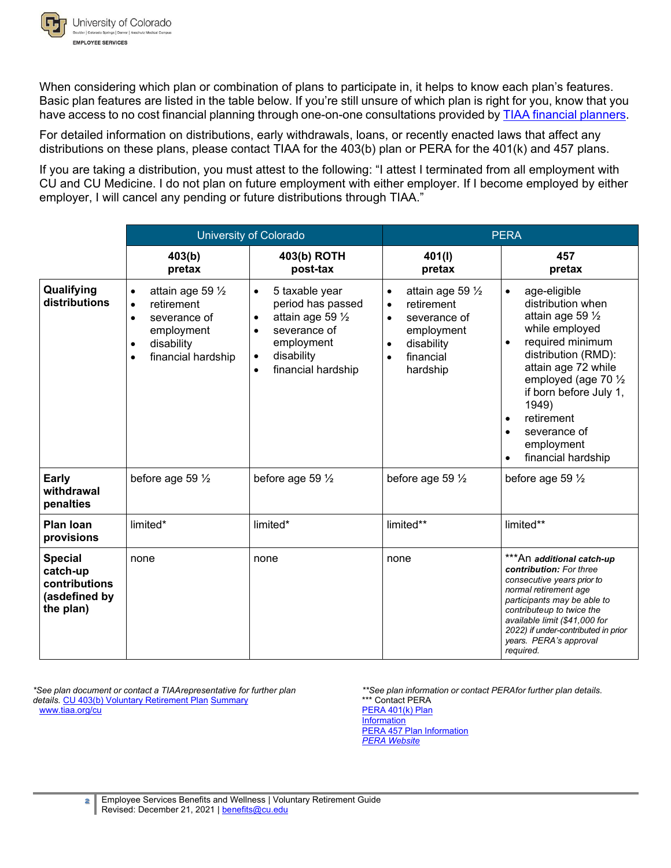

When considering which plan or combination of plans to participate in, it helps to know each plan's features. Basic plan features are listed in the table below. If you're still unsure of which plan is right for you, know that you have access to no cost financial planning through one-on-one consultations provided by TIAA financial [planners.](https://www.cu.edu/employee-services/benefits-wellness/current-employee/retirement-plans/personal-financial) 

For detailed information on distributions, early withdrawals, loans, or recently enacted laws that affect any distributions on these plans, please contact TIAA for the 403(b) plan or PERA for the 401(k) and 457 plans.

If you are taking a distribution, you must attest to the following: "I attest I terminated from all employment with CU and CU Medicine. I do not plan on future employment with either employer. If I become employed by either employer, I will cancel any pending or future distributions through TIAA."

|                                                                           |                                                                                                                                                                    | <b>University of Colorado</b>                                                                                                                                       | <b>PERA</b>                                                                                                                                                           |                                                                                                                                                                                                                                                                                                                                          |
|---------------------------------------------------------------------------|--------------------------------------------------------------------------------------------------------------------------------------------------------------------|---------------------------------------------------------------------------------------------------------------------------------------------------------------------|-----------------------------------------------------------------------------------------------------------------------------------------------------------------------|------------------------------------------------------------------------------------------------------------------------------------------------------------------------------------------------------------------------------------------------------------------------------------------------------------------------------------------|
|                                                                           | 403(b)<br>pretax                                                                                                                                                   | 403(b) ROTH<br>post-tax                                                                                                                                             | 401(1)<br>pretax                                                                                                                                                      | 457<br>pretax                                                                                                                                                                                                                                                                                                                            |
| Qualifying<br>distributions                                               | attain age 59 1/2<br>$\bullet$<br>retirement<br>$\bullet$<br>severance of<br>$\bullet$<br>employment<br>disability<br>$\bullet$<br>financial hardship<br>$\bullet$ | 5 taxable year<br>$\bullet$<br>period has passed<br>attain age 59 $\frac{1}{2}$<br>٠<br>severance of<br>employment<br>disability<br>$\bullet$<br>financial hardship | attain age 59 1/2<br>$\bullet$<br>retirement<br>$\bullet$<br>severance of<br>$\bullet$<br>employment<br>disability<br>$\bullet$<br>financial<br>$\bullet$<br>hardship | age-eligible<br>$\bullet$<br>distribution when<br>attain age 59 1/2<br>while employed<br>required minimum<br>$\bullet$<br>distribution (RMD):<br>attain age 72 while<br>employed (age 70 1/2<br>if born before July 1,<br>1949)<br>retirement<br>$\bullet$<br>severance of<br>$\bullet$<br>employment<br>financial hardship<br>$\bullet$ |
| Early<br>withdrawal<br>penalties                                          | before age 59 1/2                                                                                                                                                  | before age 59 1/2                                                                                                                                                   | before age 59 1/2                                                                                                                                                     | before age 59 $\frac{1}{2}$                                                                                                                                                                                                                                                                                                              |
| <b>Plan loan</b><br>provisions                                            | limited*                                                                                                                                                           | limited*                                                                                                                                                            | limited**                                                                                                                                                             | limited**                                                                                                                                                                                                                                                                                                                                |
| <b>Special</b><br>catch-up<br>contributions<br>(asdefined by<br>the plan) | none                                                                                                                                                               | none                                                                                                                                                                | none                                                                                                                                                                  | ***An additional catch-up<br>contribution: For three<br>consecutive years prior to<br>normal retirement age<br>participants may be able to<br>contributeup to twice the<br>available limit (\$41,000 for<br>2022) if under-contributed in prior<br>years. PERA's approval<br>required.                                                   |

*\*See plan document or contact a TIAA representative for further plan details.* [CU 403\(b\) Voluntary Retirement Plan](https://www.cu.edu/node/168274) [Summary](https://www.cu.edu/node/168274) [www.tiaa.org/cu](http://www.tiaa.org/cu)

*<sup>\*\*</sup>See plan information or contact PERA for further plan details.* \*\*\* Contact PERA [PERA 401\(k\) Plan](https://copera401k.voya.com/einfo/planinfo.aspx?cl=CORADO&pl=650301PU&page=plan_informationintroduction) [Information](https://copera401k.voya.com/einfo/planinfo.aspx?cl=CORADO&pl=650301PU&page=plan_informationintroduction) **[PERA 457 Plan Information](https://copera401k.voya.com/einfo/planinfo.aspx?cl=CORADO&pl=650303PU&page=plan_informationintroduction&domain=copera401k.voya.com)** *[PERA Website](http://www.copera.org/)*